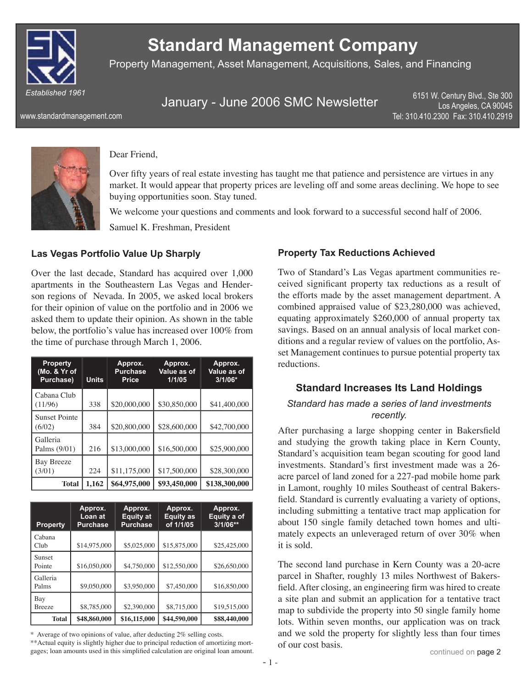

# **Standard Management Company**

Property Management, Asset Management, Acquisitions, Sales, and Financing

January - June 2006 SMC Newsletter

6151 W. Century Blvd., Ste 300 Los Angeles, CA 90045 Tel: 310.410.2300 Fax: 310.410.2919

www.standardmanagement.com



#### Dear Friend,

Over fifty years of real estate investing has taught me that patience and persistence are virtues in any market. It would appear that property prices are leveling off and some areas declining. We hope to see buying opportunities soon. Stay tuned.

We welcome your questions and comments and look forward to a successful second half of 2006. Samuel K. Freshman, President

#### **Las Vegas Portfolio Value Up Sharply**

Over the last decade, Standard has acquired over 1,000 apartments in the Southeastern Las Vegas and Henderson regions of Nevada. In 2005, we asked local brokers for their opinion of value on the portfolio and in 2006 we asked them to update their opinion. As shown in the table below, the portfolio's value has increased over 100% from the time of purchase through March 1, 2006.

| <b>Property</b><br>(Mo. & Yr of<br>Purchase) | <b>Units</b> | Approx.<br><b>Purchase</b><br><b>Price</b> | Approx.<br>Value as of<br>1/1/05 | Approx.<br>Value as of<br>$3/1/06*$ |
|----------------------------------------------|--------------|--------------------------------------------|----------------------------------|-------------------------------------|
| Cabana Club<br>(11/96)                       | 338          | \$20,000,000                               | \$30,850,000                     | \$41,400,000                        |
| <b>Sunset Pointe</b><br>(6/02)               | 384          | \$20,800,000                               | \$28,600,000                     | \$42,700,000                        |
| Galleria<br>Palms (9/01)                     | 216          | \$13,000,000                               | \$16,500,000                     | \$25,900,000                        |
| <b>Bay Breeze</b><br>(3/01)                  | 224          | \$11,175,000                               | \$17,500,000                     | \$28,300,000                        |
| <b>Total</b>                                 | 1.162        | \$64,975,000                               | \$93,450,000                     | \$138,300,000                       |

| <b>Property</b>      | Approx.<br>Loan at<br><b>Purchase</b> | Approx.<br><b>Equity at</b><br><b>Purchase</b> | Approx.<br><b>Equity as</b><br>of 1/1/05 | Approx.<br>Equity a of<br>$3/1/06**$ |
|----------------------|---------------------------------------|------------------------------------------------|------------------------------------------|--------------------------------------|
| Cabana<br>Club       | \$14,975,000                          | \$5,025,000                                    | \$15,875,000                             | \$25,425,000                         |
| Sunset<br>Pointe     | \$16,050,000                          | \$4,750,000                                    | \$12,550,000                             | \$26,650,000                         |
| Galleria<br>Palms    | \$9,050,000                           | \$3,950,000                                    | \$7,450,000                              | \$16,850,000                         |
| Bay<br><b>Breeze</b> | \$8,785,000                           | \$2,390,000                                    | \$8,715,000                              | \$19,515,000                         |
| <b>Total</b>         | \$48,860,000                          | \$16,115,000                                   | \$44,590,000                             | \$88,440,000                         |

\* Average of two opinions of value, after deducting 2% selling costs.

\*\*Actual equity is slightly higher due to principal reduction of amortizing mortgages; loan amounts used in this simplified calculation are original loan amount.

#### **Property Tax Reductions Achieved**

Two of Standard's Las Vegas apartment communities received significant property tax reductions as a result of the efforts made by the asset management department. A combined appraised value of \$23,280,000 was achieved, equating approximately \$260,000 of annual property tax savings. Based on an annual analysis of local market conditions and a regular review of values on the portfolio, Asset Management continues to pursue potential property tax reductions.

#### **Standard Increases Its Land Holdings**

#### *Standard has made a series of land investments recently.*

After purchasing a large shopping center in Bakersfield and studying the growth taking place in Kern County, Standard's acquisition team began scouting for good land investments. Standard's first investment made was a 26acre parcel of land zoned for a 227-pad mobile home park in Lamont, roughly 10 miles Southeast of central Bakersfield. Standard is currently evaluating a variety of options, including submitting a tentative tract map application for about 150 single family detached town homes and ultimately expects an unleveraged return of over 30% when it is sold.

The second land purchase in Kern County was a 20-acre parcel in Shafter, roughly 13 miles Northwest of Bakersfield. After closing, an engineering firm was hired to create a site plan and submit an application for a tentative tract map to subdivide the property into 50 single family home lots. Within seven months, our application was on track and we sold the property for slightly less than four times of our cost basis.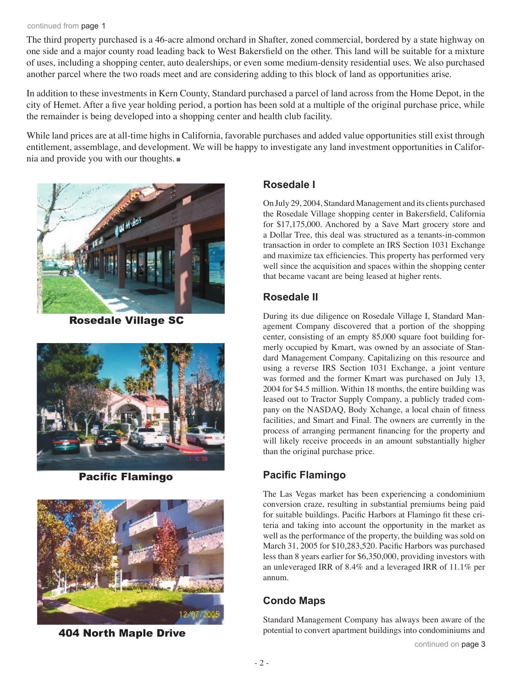#### continued from page 1

The third property purchased is a 46-acre almond orchard in Shafter, zoned commercial, bordered by a state highway on one side and a major county road leading back to West Bakersfield on the other. This land will be suitable for a mixture of uses, including a shopping center, auto dealerships, or even some medium-density residential uses. We also purchased another parcel where the two roads meet and are considering adding to this block of land as opportunities arise.

In addition to these investments in Kern County, Standard purchased a parcel of land across from the Home Depot, in the city of Hemet. After a five year holding period, a portion has been sold at a multiple of the original purchase price, while the remainder is being developed into a shopping center and health club facility.

While land prices are at all-time highs in California, favorable purchases and added value opportunities still exist through entitlement, assemblage, and development. We will be happy to investigate any land investment opportunities in California and provide you with our thoughts.



Rosedale Village SC



**Pacific Flamingo** 



404 North Maple Drive

#### **Rosedale I**

On July 29, 2004, Standard Management and its clients purchased the Rosedale Village shopping center in Bakersfield, California for \$17,175,000. Anchored by a Save Mart grocery store and a Dollar Tree, this deal was structured as a tenants-in-common transaction in order to complete an IRS Section 1031 Exchange and maximize tax efficiencies. This property has performed very well since the acquisition and spaces within the shopping center that became vacant are being leased at higher rents.

### **Rosedale II**

During its due diligence on Rosedale Village I, Standard Management Company discovered that a portion of the shopping center, consisting of an empty 85,000 square foot building formerly occupied by Kmart, was owned by an associate of Standard Management Company. Capitalizing on this resource and using a reverse IRS Section 1031 Exchange, a joint venture was formed and the former Kmart was purchased on July 13, 2004 for \$4.5 million. Within 18 months, the entire building was leased out to Tractor Supply Company, a publicly traded company on the NASDAQ, Body Xchange, a local chain of fitness facilities, and Smart and Final. The owners are currently in the process of arranging permanent financing for the property and will likely receive proceeds in an amount substantially higher than the original purchase price.

# **Pacific Flamingo**

The Las Vegas market has been experiencing a condominium conversion craze, resulting in substantial premiums being paid for suitable buildings. Pacific Harbors at Flamingo fit these criteria and taking into account the opportunity in the market as well as the performance of the property, the building was sold on March 31, 2005 for \$10,283,520. Pacific Harbors was purchased less than 8 years earlier for \$6,350,000, providing investors with an unleveraged IRR of 8.4% and a leveraged IRR of 11.1% per annum.

# **Condo Maps**

Standard Management Company has always been aware of the potential to convert apartment buildings into condominiums and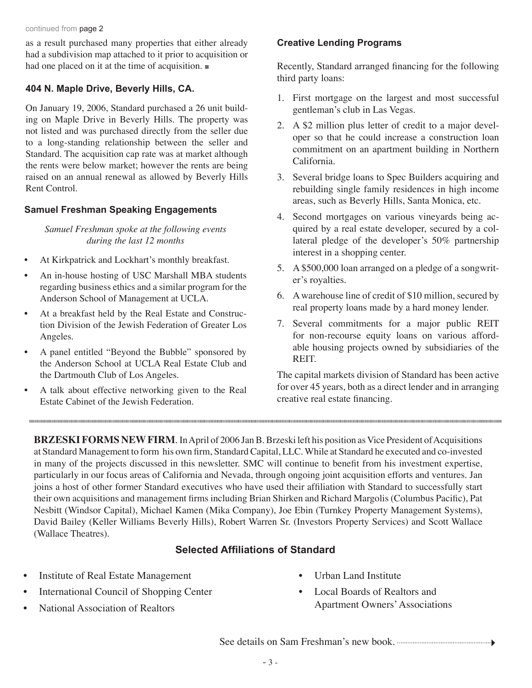continued from page 2

as a result purchased many properties that either already had a subdivision map attached to it prior to acquisition or had one placed on it at the time of acquisition.

#### **404 N. Maple Drive, Beverly Hills, CA.**

On January 19, 2006, Standard purchased a 26 unit building on Maple Drive in Beverly Hills. The property was not listed and was purchased directly from the seller due to a long-standing relationship between the seller and Standard. The acquisition cap rate was at market although the rents were below market; however the rents are being raised on an annual renewal as allowed by Beverly Hills Rent Control.

### **Samuel Freshman Speaking Engagements**

*Samuel Freshman spoke at the following events during the last 12 months*

- At Kirkpatrick and Lockhart's monthly breakfast.
- An in-house hosting of USC Marshall MBA students regarding business ethics and a similar program for the Anderson School of Management at UCLA.
- At a breakfast held by the Real Estate and Construction Division of the Jewish Federation of Greater Los Angeles.
- A panel entitled "Beyond the Bubble" sponsored by the Anderson School at UCLA Real Estate Club and the Dartmouth Club of Los Angeles.
- A talk about effective networking given to the Real Estate Cabinet of the Jewish Federation.

### **Creative Lending Programs**

Recently, Standard arranged financing for the following third party loans:

- 1. First mortgage on the largest and most successful gentleman's club in Las Vegas.
- 2. A \$2 million plus letter of credit to a major developer so that he could increase a construction loan commitment on an apartment building in Northern California.
- 3. Several bridge loans to Spec Builders acquiring and rebuilding single family residences in high income areas, such as Beverly Hills, Santa Monica, etc.
- 4. Second mortgages on various vineyards being acquired by a real estate developer, secured by a collateral pledge of the developer's 50% partnership interest in a shopping center.
- 5. A \$500,000 loan arranged on a pledge of a songwriter's royalties.
- 6. A warehouse line of credit of \$10 million, secured by real property loans made by a hard money lender.
- 7. Several commitments for a major public REIT for non-recourse equity loans on various affordable housing projects owned by subsidiaries of the REIT.

The capital markets division of Standard has been active for over 45 years, both as a direct lender and in arranging creative real estate financing.

**BRZESKI FORMS NEW FIRM.** In April of 2006 Jan B. Brzeski left his position as Vice President of Acquisitions at Standard Management to form his own firm, Standard Capital, LLC. While at Standard he executed and co-invested in many of the projects discussed in this newsletter. SMC will continue to benefit from his investment expertise, particularly in our focus areas of California and Nevada, through ongoing joint acquisition efforts and ventures. Jan joins a host of other former Standard executives who have used their affiliation with Standard to successfully start their own acquisitions and management firms including Brian Shirken and Richard Margolis (Columbus Pacific), Pat Nesbitt (Windsor Capital), Michael Kamen (Mika Company), Joe Ebin (Turnkey Property Management Systems), David Bailey (Keller Williams Beverly Hills), Robert Warren Sr. (Investors Property Services) and Scott Wallace (Wallace Theatres).

## **Selected Affiliations of Standard**

- Institute of Real Estate Management
- International Council of Shopping Center
- National Association of Realtors

- Urban Land Institute
- Local Boards of Realtors and Apartment Owners' Associations